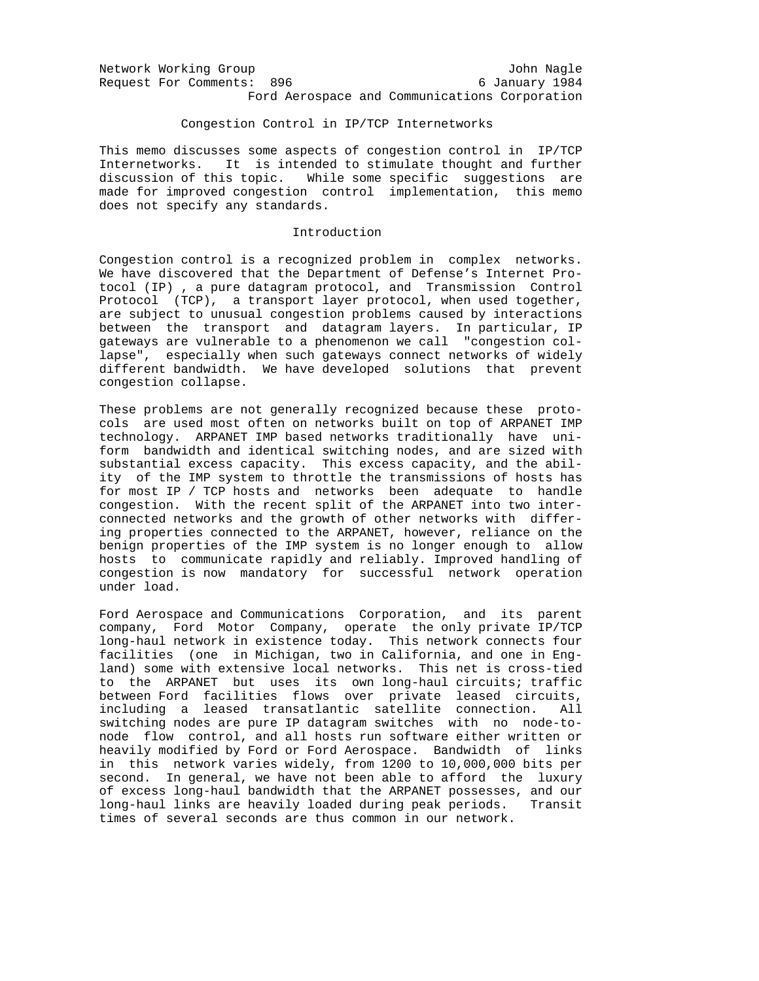### Congestion Control in IP/TCP Internetworks

This memo discusses some aspects of congestion control in IP/TCP Internetworks. It is intended to stimulate thought and further discussion of this topic. While some specific suggestions are made for improved congestion control implementation, this memo does not specify any standards.

## Introduction

Congestion control is a recognized problem in complex networks. We have discovered that the Department of Defense's Internet Protocol (IP) , a pure datagram protocol, and Transmission Control Protocol (TCP), a transport layer protocol, when used together, are subject to unusual congestion problems caused by interactions between the transport and datagram layers. In particular, IP gateways are vulnerable to a phenomenon we call "congestion collapse", especially when such gateways connect networks of widely different bandwidth. We have developed solutions that prevent congestion collapse.

These problems are not generally recognized because these protocols are used most often on networks built on top of ARPANET IMP technology. ARPANET IMP based networks traditionally have uniform bandwidth and identical switching nodes, and are sized with substantial excess capacity. This excess capacity, and the ability of the IMP system to throttle the transmissions of hosts has for most IP / TCP hosts and networks been adequate to handle congestion. With the recent split of the ARPANET into two interconnected networks and the growth of other networks with differing properties connected to the ARPANET, however, reliance on the benign properties of the IMP system is no longer enough to allow hosts to communicate rapidly and reliably. Improved handling of congestion is now mandatory for successful network operation under load.

Ford Aerospace and Communications Corporation, and its parent company, Ford Motor Company, operate the only private IP/TCP long-haul network in existence today. This network connects four facilities (one in Michigan, two in California, and one in England) some with extensive local networks. This net is cross-tied to the ARPANET but uses its own long-haul circuits; traffic between Ford facilities flows over private leased circuits, including a leased transatlantic satellite connection. All switching nodes are pure IP datagram switches with no node-tonode flow control, and all hosts run software either written or heavily modified by Ford or Ford Aerospace. Bandwidth of links in this network varies widely, from 1200 to 10,000,000 bits per second. In general, we have not been able to afford the luxury of excess long-haul bandwidth that the ARPANET possesses, and our long-haul links are heavily loaded during peak periods. Transit times of several seconds are thus common in our network.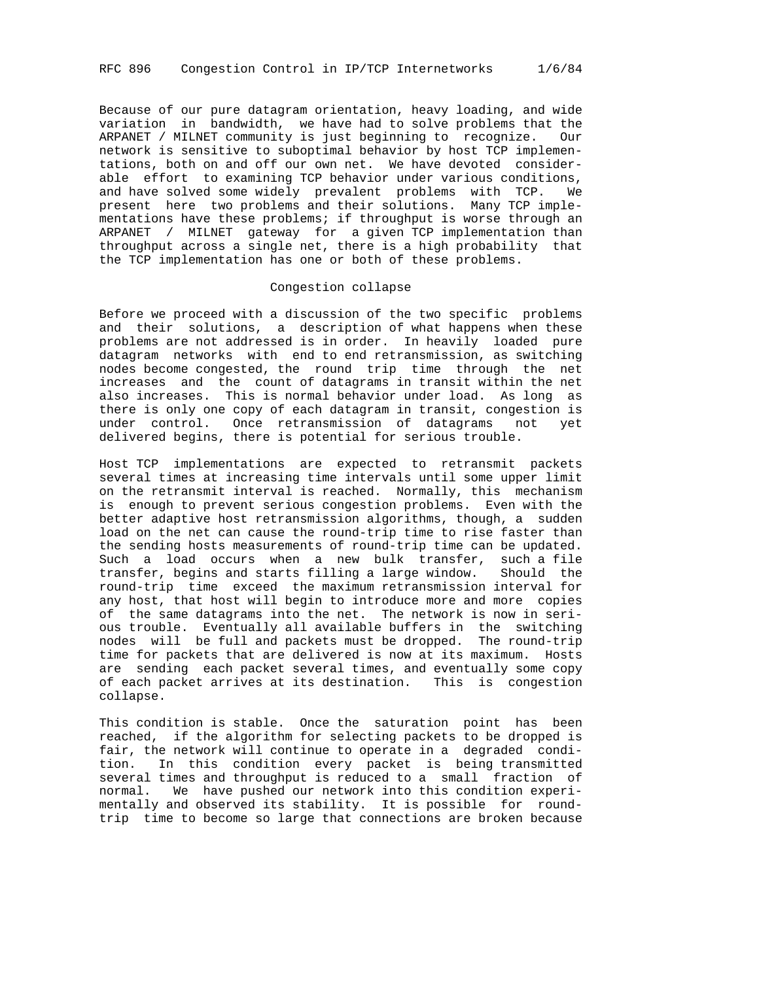Because of our pure datagram orientation, heavy loading, and wide variation in bandwidth, we have had to solve problems that the ARPANET / MILNET community is just beginning to recognize. Our network is sensitive to suboptimal behavior by host TCP implementations, both on and off our own net. We have devoted considerable effort to examining TCP behavior under various conditions, and have solved some widely prevalent problems with TCP. We present here two problems and their solutions. Many TCP implementations have these problems; if throughput is worse through an ARPANET / MILNET gateway for a given TCP implementation than throughput across a single net, there is a high probability that the TCP implementation has one or both of these problems.

## Congestion collapse

Before we proceed with a discussion of the two specific problems and their solutions, a description of what happens when these problems are not addressed is in order. In heavily loaded pure datagram networks with end to end retransmission, as switching nodes become congested, the round trip time through the net increases and the count of datagrams in transit within the net also increases. This is normal behavior under load. As long as there is only one copy of each datagram in transit, congestion is under control. Once retransmission of datagrams not yet delivered begins, there is potential for serious trouble.

Host TCP implementations are expected to retransmit packets several times at increasing time intervals until some upper limit on the retransmit interval is reached. Normally, this mechanism is enough to prevent serious congestion problems. Even with the better adaptive host retransmission algorithms, though, a sudden load on the net can cause the round-trip time to rise faster than the sending hosts measurements of round-trip time can be updated. Such a load occurs when a new bulk transfer, such a file transfer, begins and starts filling a large window. Should the round-trip time exceed the maximum retransmission interval for any host, that host will begin to introduce more and more copies of the same datagrams into the net. The network is now in serious trouble. Eventually all available buffers in the switching nodes will be full and packets must be dropped. The round-trip time for packets that are delivered is now at its maximum. Hosts are sending each packet several times, and eventually some copy of each packet arrives at its destination. This is congestion collapse.

This condition is stable. Once the saturation point has been reached, if the algorithm for selecting packets to be dropped is fair, the network will continue to operate in a degraded condition. In this condition every packet is being transmitted several times and throughput is reduced to a small fraction of normal. We have pushed our network into this condition experimentally and observed its stability. It is possible for roundtrip time to become so large that connections are broken because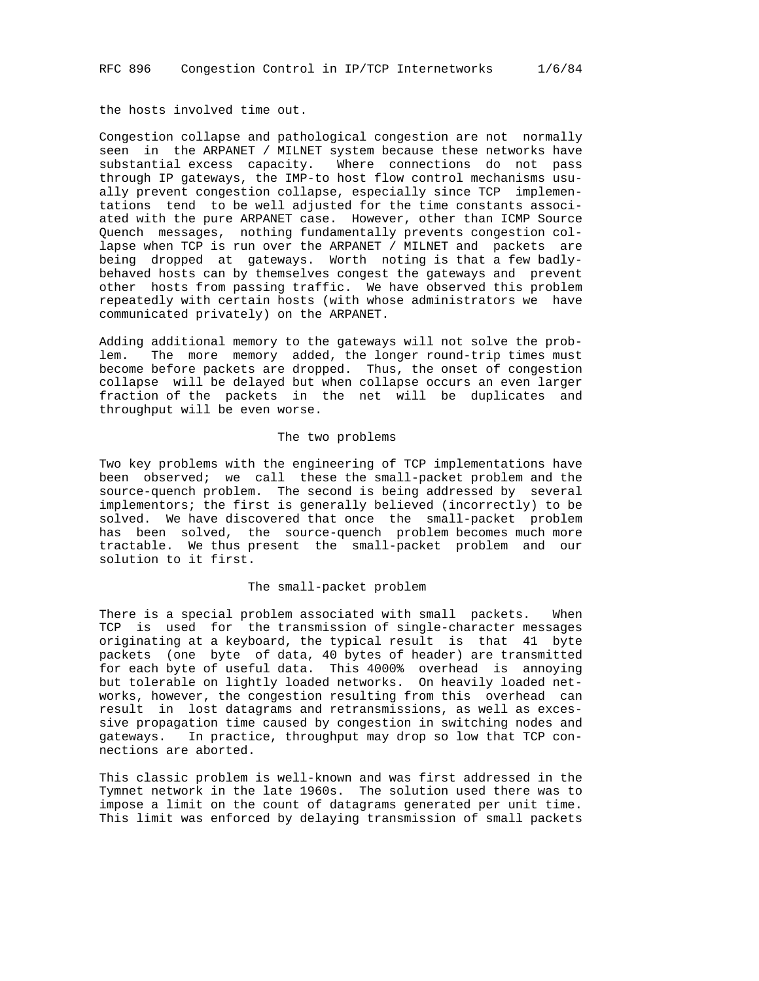the hosts involved time out.

Congestion collapse and pathological congestion are not normally seen in the ARPANET / MILNET system because these networks have substantial excess capacity. Where connections do not pass through IP gateways, the IMP-to host flow control mechanisms usually prevent congestion collapse, especially since TCP implementations tend to be well adjusted for the time constants associated with the pure ARPANET case. However, other than ICMP Source Quench messages, nothing fundamentally prevents congestion collapse when TCP is run over the ARPANET / MILNET and packets are being dropped at gateways. Worth noting is that a few badlybehaved hosts can by themselves congest the gateways and prevent other hosts from passing traffic. We have observed this problem repeatedly with certain hosts (with whose administrators we have communicated privately) on the ARPANET.

Adding additional memory to the gateways will not solve the problem. The more memory added, the longer round-trip times must become before packets are dropped. Thus, the onset of congestion collapse will be delayed but when collapse occurs an even larger fraction of the packets in the net will be duplicates and throughput will be even worse.

#### The two problems

Two key problems with the engineering of TCP implementations have been observed; we call these the small-packet problem and the source-quench problem. The second is being addressed by several implementors; the first is generally believed (incorrectly) to be solved. We have discovered that once the small-packet problem has been solved, the source-quench problem becomes much more tractable. We thus present the small-packet problem and our solution to it first.

## The small-packet problem

There is a special problem associated with small packets. When TCP is used for the transmission of single-character messages originating at a keyboard, the typical result is that 41 byte packets (one byte of data, 40 bytes of header) are transmitted for each byte of useful data. This 4000% overhead is annoying but tolerable on lightly loaded networks. On heavily loaded networks, however, the congestion resulting from this overhead can result in lost datagrams and retransmissions, as well as excessive propagation time caused by congestion in switching nodes and gateways. In practice, throughput may drop so low that TCP connections are aborted.

This classic problem is well-known and was first addressed in the Tymnet network in the late 1960s. The solution used there was to impose a limit on the count of datagrams generated per unit time. This limit was enforced by delaying transmission of small packets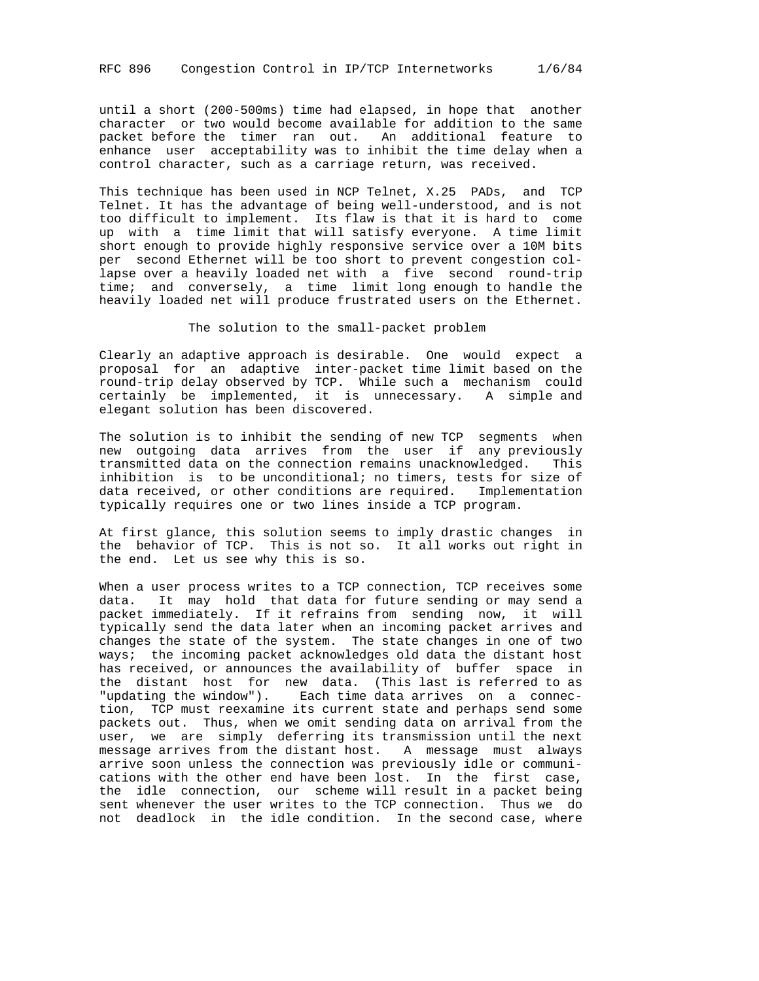until a short (200-500ms) time had elapsed, in hope that another character or two would become available for addition to the same packet before the timer ran out. An additional feature to enhance user acceptability was to inhibit the time delay when a control character, such as a carriage return, was received.

This technique has been used in NCP Telnet, X.25 PADs, and TCP Telnet. It has the advantage of being well-understood, and is not too difficult to implement. Its flaw is that it is hard to come up with a time limit that will satisfy everyone. A time limit short enough to provide highly responsive service over a 10M bits per second Ethernet will be too short to prevent congestion collapse over a heavily loaded net with a five second round-trip time; and conversely, a time limit long enough to handle the heavily loaded net will produce frustrated users on the Ethernet.

The solution to the small-packet problem

Clearly an adaptive approach is desirable. One would expect a proposal for an adaptive inter-packet time limit based on the round-trip delay observed by TCP. While such a mechanism could certainly be implemented, it is unnecessary. A simple and elegant solution has been discovered.

The solution is to inhibit the sending of new TCP segments when new outgoing data arrives from the user if any previously transmitted data on the connection remains unacknowledged. This inhibition is to be unconditional; no timers, tests for size of data received, or other conditions are required. Implementation typically requires one or two lines inside a TCP program.

At first glance, this solution seems to imply drastic changes in the behavior of TCP. This is not so. It all works out right in the end. Let us see why this is so.

When a user process writes to a TCP connection, TCP receives some data. It may hold that data for future sending or may send a packet immediately. If it refrains from sending now, it will typically send the data later when an incoming packet arrives and changes the state of the system. The state changes in one of two ways; the incoming packet acknowledges old data the distant host has received, or announces the availability of buffer space in the distant host for new data. (This last is referred to as "updating the window"). Each time data arrives on a connection, TCP must reexamine its current state and perhaps send some packets out. Thus, when we omit sending data on arrival from the user, we are simply deferring its transmission until the next message arrives from the distant host. A message must always arrive soon unless the connection was previously idle or communications with the other end have been lost. In the first case, the idle connection, our scheme will result in a packet being sent whenever the user writes to the TCP connection. Thus we do not deadlock in the idle condition. In the second case, where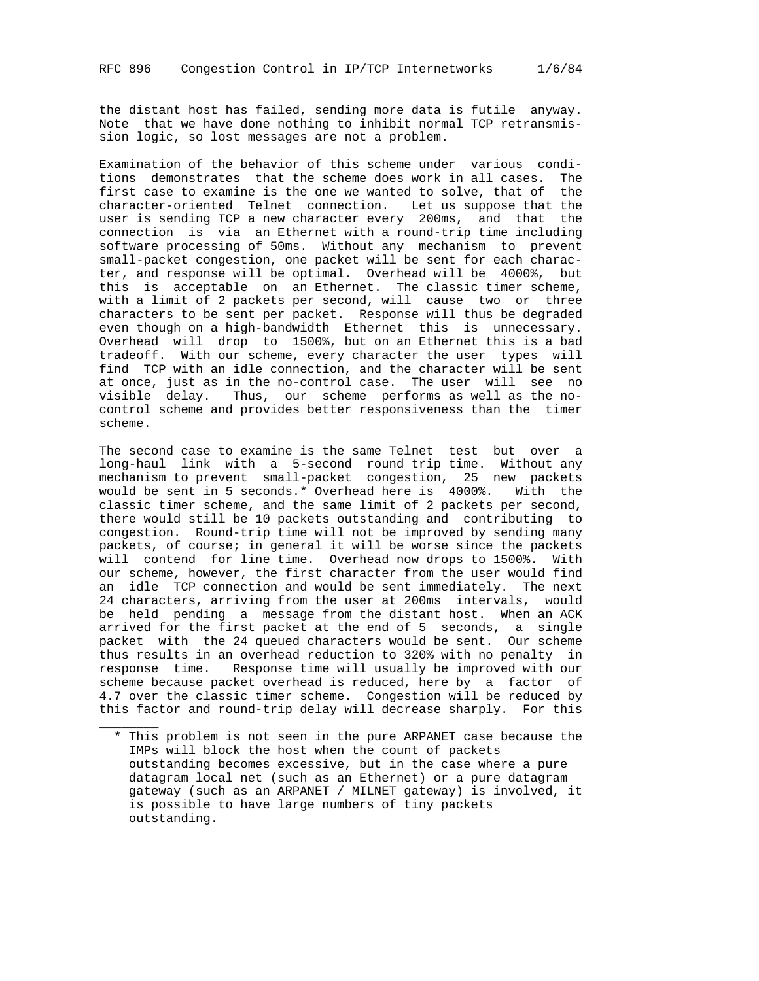the distant host has failed, sending more data is futile anyway. Note that we have done nothing to inhibit normal TCP retransmission logic, so lost messages are not a problem.

Examination of the behavior of this scheme under various conditions demonstrates that the scheme does work in all cases. The first case to examine is the one we wanted to solve, that of the character-oriented Telnet connection. Let us suppose that the user is sending TCP a new character every 200ms, and that the connection is via an Ethernet with a round-trip time including software processing of 50ms. Without any mechanism to prevent small-packet congestion, one packet will be sent for each character, and response will be optimal. Overhead will be 4000%, but this is acceptable on an Ethernet. The classic timer scheme, with a limit of 2 packets per second, will cause two or three characters to be sent per packet. Response will thus be degraded even though on a high-bandwidth Ethernet this is unnecessary. Overhead will drop to 1500%, but on an Ethernet this is a bad tradeoff. With our scheme, every character the user types will find TCP with an idle connection, and the character will be sent at once, just as in the no-control case. The user will see no visible delay. Thus, our scheme performs as well as the nocontrol scheme and provides better responsiveness than the timer scheme.

The second case to examine is the same Telnet test but over a long-haul link with a 5-second round trip time. Without any mechanism to prevent small-packet congestion, 25 new packets would be sent in 5 seconds.\* Overhead here is 4000%. With the classic timer scheme, and the same limit of 2 packets per second, there would still be 10 packets outstanding and contributing to congestion. Round-trip time will not be improved by sending many packets, of course; in general it will be worse since the packets will contend for line time. Overhead now drops to 1500%. With our scheme, however, the first character from the user would find an idle TCP connection and would be sent immediately. The next 24 characters, arriving from the user at 200ms intervals, would be held pending a message from the distant host. When an ACK arrived for the first packet at the end of 5 seconds, a single packet with the 24 queued characters would be sent. Our scheme thus results in an overhead reduction to 320% with no penalty in response time. Response time will usually be improved with our scheme because packet overhead is reduced, here by a factor of 4.7 over the classic timer scheme. Congestion will be reduced by this factor and round-trip delay will decrease sharply. For this

\_\_\_\_\_\_\_\_

 <sup>\*</sup> This problem is not seen in the pure ARPANET case because the IMPs will block the host when the count of packets outstanding becomes excessive, but in the case where a pure datagram local net (such as an Ethernet) or a pure datagram gateway (such as an ARPANET / MILNET gateway) is involved, it is possible to have large numbers of tiny packets outstanding.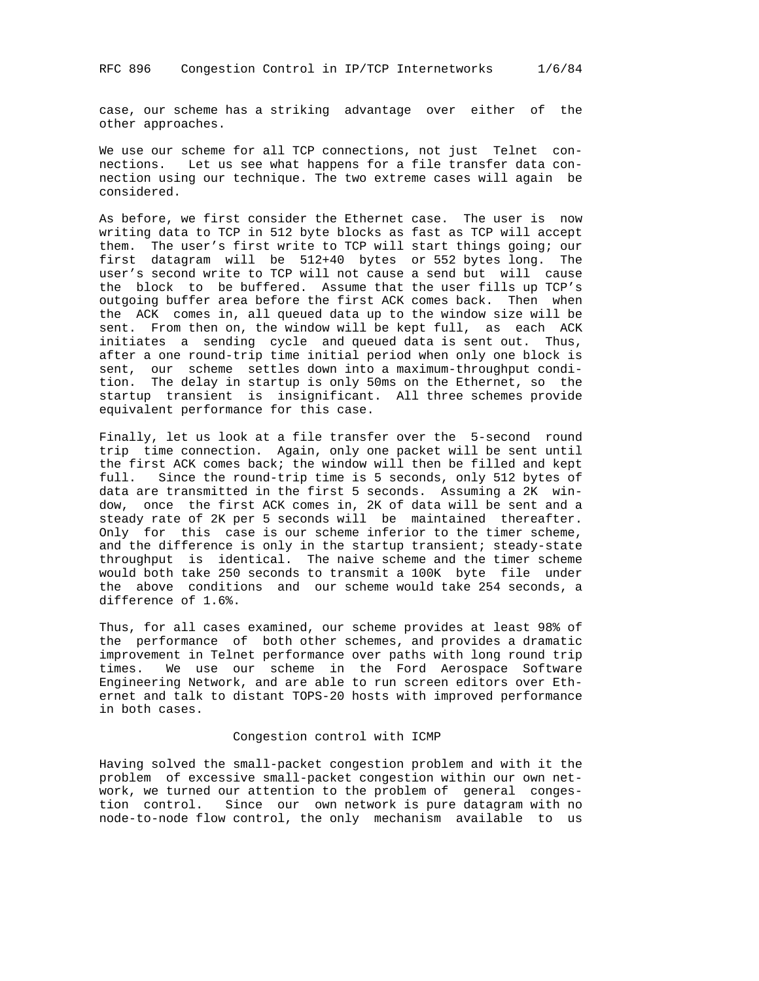case, our scheme has a striking advantage over either of the other approaches.

We use our scheme for all TCP connections, not just Telnet connections. Let us see what happens for a file transfer data connection using our technique. The two extreme cases will again be considered.

As before, we first consider the Ethernet case. The user is now writing data to TCP in 512 byte blocks as fast as TCP will accept them. The user's first write to TCP will start things going; our first datagram will be 512+40 bytes or 552 bytes long. The user's second write to TCP will not cause a send but will cause the block to be buffered. Assume that the user fills up TCP's outgoing buffer area before the first ACK comes back. Then when the ACK comes in, all queued data up to the window size will be sent. From then on, the window will be kept full, as each ACK initiates a sending cycle and queued data is sent out. Thus, after a one round-trip time initial period when only one block is sent, our scheme settles down into a maximum-throughput condition. The delay in startup is only 50ms on the Ethernet, so the startup transient is insignificant. All three schemes provide equivalent performance for this case.

Finally, let us look at a file transfer over the 5-second round trip time connection. Again, only one packet will be sent until the first ACK comes back; the window will then be filled and kept full. Since the round-trip time is 5 seconds, only 512 bytes of data are transmitted in the first 5 seconds. Assuming a 2K window, once the first ACK comes in, 2K of data will be sent and a steady rate of 2K per 5 seconds will be maintained thereafter. Only for this case is our scheme inferior to the timer scheme, and the difference is only in the startup transient; steady-state throughput is identical. The naive scheme and the timer scheme would both take 250 seconds to transmit a 100K byte file under the above conditions and our scheme would take 254 seconds, a difference of 1.6%.

Thus, for all cases examined, our scheme provides at least 98% of the performance of both other schemes, and provides a dramatic improvement in Telnet performance over paths with long round trip times. We use our scheme in the Ford Aerospace Software Engineering Network, and are able to run screen editors over Ethernet and talk to distant TOPS-20 hosts with improved performance in both cases.

# Congestion control with ICMP

Having solved the small-packet congestion problem and with it the problem of excessive small-packet congestion within our own network, we turned our attention to the problem of general congestion control. Since our own network is pure datagram with no node-to-node flow control, the only mechanism available to us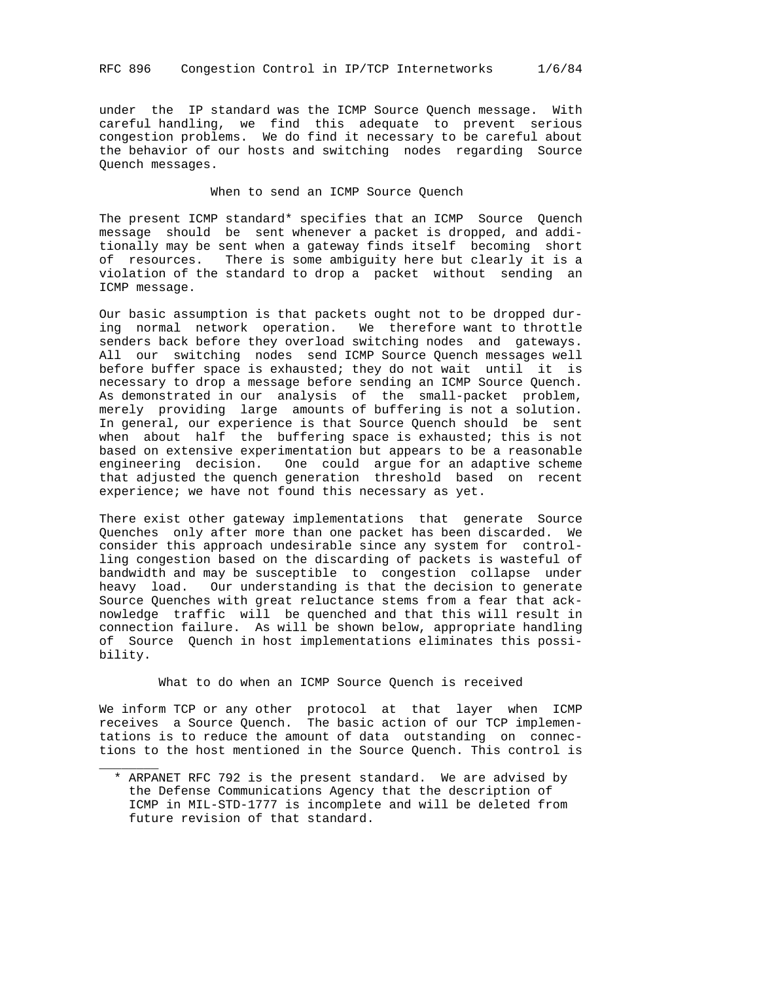under the IP standard was the ICMP Source Quench message. With careful handling, we find this adequate to prevent serious congestion problems. We do find it necessary to be careful about the behavior of our hosts and switching nodes regarding Source Quench messages.

# When to send an ICMP Source Quench

The present ICMP standard\* specifies that an ICMP Source Quench message should be sent whenever a packet is dropped, and additionally may be sent when a gateway finds itself becoming short of resources. There is some ambiguity here but clearly it is a violation of the standard to drop a packet without sending an ICMP message.

Our basic assumption is that packets ought not to be dropped during normal network operation. We therefore want to throttle senders back before they overload switching nodes and gateways. All our switching nodes send ICMP Source Quench messages well before buffer space is exhausted; they do not wait until it is necessary to drop a message before sending an ICMP Source Quench. As demonstrated in our analysis of the small-packet problem, merely providing large amounts of buffering is not a solution. In general, our experience is that Source Quench should be sent when about half the buffering space is exhausted; this is not based on extensive experimentation but appears to be a reasonable engineering decision. One could argue for an adaptive scheme that adjusted the quench generation threshold based on recent experience; we have not found this necessary as yet.

There exist other gateway implementations that generate Source Quenches only after more than one packet has been discarded. We consider this approach undesirable since any system for controlling congestion based on the discarding of packets is wasteful of bandwidth and may be susceptible to congestion collapse under heavy load. Our understanding is that the decision to generate Source Quenches with great reluctance stems from a fear that acknowledge traffic will be quenched and that this will result in connection failure. As will be shown below, appropriate handling of Source Quench in host implementations eliminates this possibility.

## What to do when an ICMP Source Quench is received

We inform TCP or any other protocol at that layer when ICMP receives a Source Quench. The basic action of our TCP implementations is to reduce the amount of data outstanding on connections to the host mentioned in the Source Quench. This control is

\_\_\_\_\_\_\_\_

 <sup>\*</sup> ARPANET RFC 792 is the present standard. We are advised by the Defense Communications Agency that the description of ICMP in MIL-STD-1777 is incomplete and will be deleted from future revision of that standard.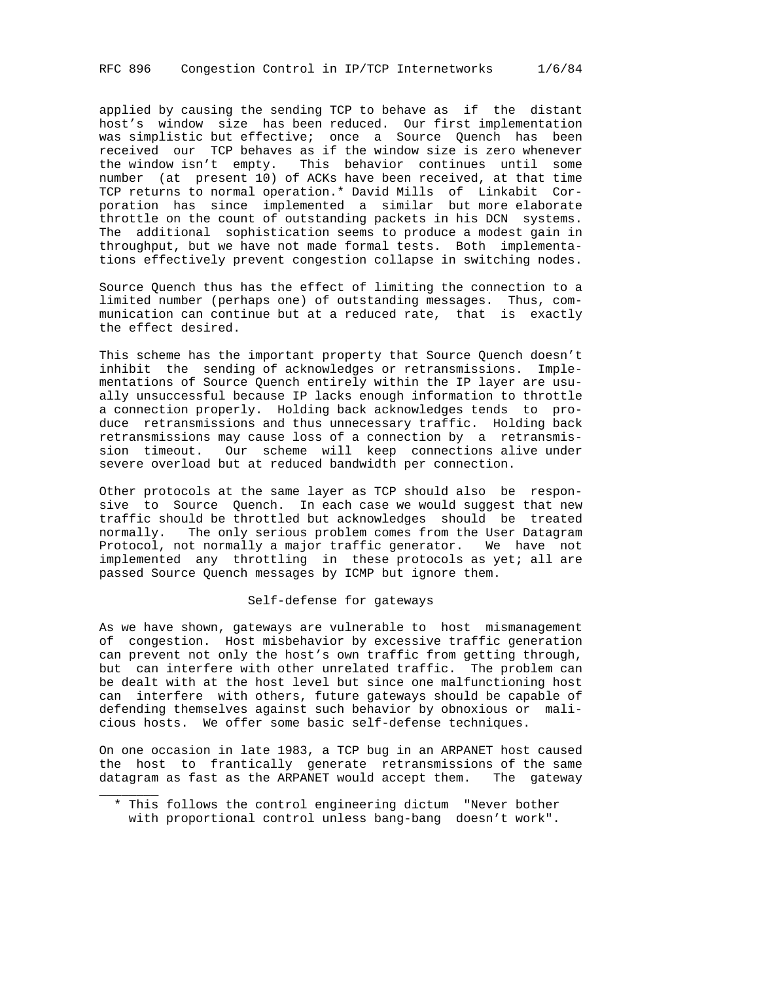applied by causing the sending TCP to behave as if the distant host's window size has been reduced. Our first implementation was simplistic but effective; once a Source Quench has been received our TCP behaves as if the window size is zero whenever the window isn't empty. This behavior continues until some number (at present 10) of ACKs have been received, at that time TCP returns to normal operation.\* David Mills of Linkabit Corporation has since implemented a similar but more elaborate throttle on the count of outstanding packets in his DCN systems. The additional sophistication seems to produce a modest gain in throughput, but we have not made formal tests. Both implementations effectively prevent congestion collapse in switching nodes.

Source Quench thus has the effect of limiting the connection to a limited number (perhaps one) of outstanding messages. Thus, communication can continue but at a reduced rate, that is exactly the effect desired.

This scheme has the important property that Source Quench doesn't inhibit the sending of acknowledges or retransmissions. Implementations of Source Quench entirely within the IP layer are usually unsuccessful because IP lacks enough information to throttle a connection properly. Holding back acknowledges tends to produce retransmissions and thus unnecessary traffic. Holding back retransmissions may cause loss of a connection by a retransmission timeout. Our scheme will keep connections alive under severe overload but at reduced bandwidth per connection.

Other protocols at the same layer as TCP should also be responsive to Source Quench. In each case we would suggest that new traffic should be throttled but acknowledges should be treated normally. The only serious problem comes from the User Datagram Protocol, not normally a major traffic generator. We have not implemented any throttling in these protocols as yet; all are passed Source Quench messages by ICMP but ignore them.

#### Self-defense for gateways

As we have shown, gateways are vulnerable to host mismanagement of congestion. Host misbehavior by excessive traffic generation can prevent not only the host's own traffic from getting through, but can interfere with other unrelated traffic. The problem can be dealt with at the host level but since one malfunctioning host can interfere with others, future gateways should be capable of defending themselves against such behavior by obnoxious or malicious hosts. We offer some basic self-defense techniques.

On one occasion in late 1983, a TCP bug in an ARPANET host caused the host to frantically generate retransmissions of the same datagram as fast as the ARPANET would accept them. The gateway

\_\_\_\_\_\_\_\_

 <sup>\*</sup> This follows the control engineering dictum "Never bother with proportional control unless bang-bang doesn't work".